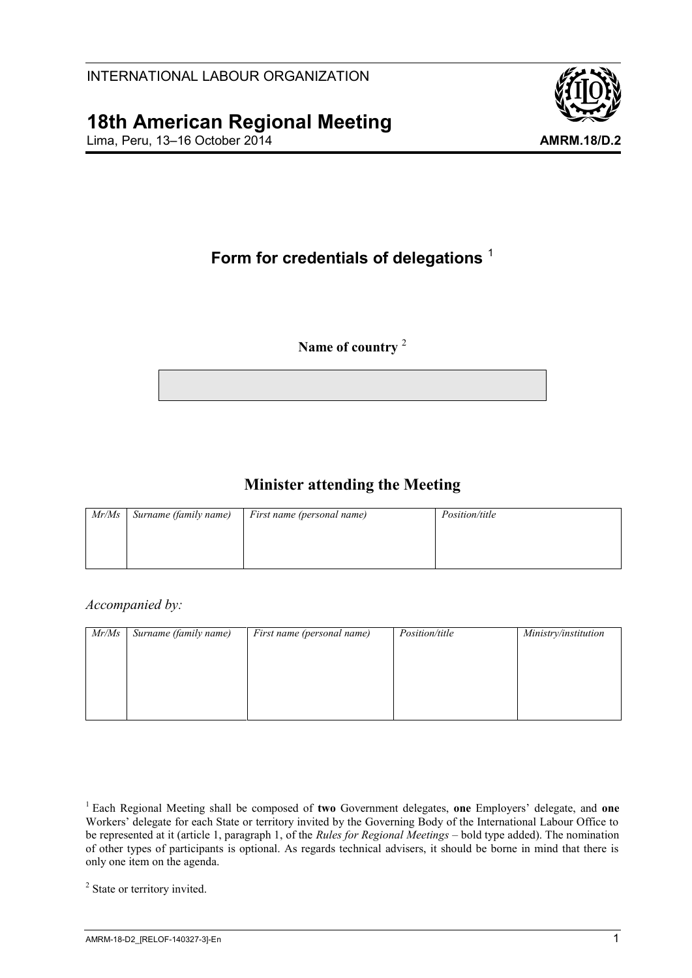# **18th American Regional Meeting**

Lima, Peru, 13–16 October 2014 **AMRM.18/D.2**



# **Form for credentials of delegations** <sup>1</sup>

#### **Name of country** <sup>2</sup>

## **Minister attending the Meeting**

| Mr/Ms | Surname (family name) | First name (personal name) | <i>Position/title</i> |
|-------|-----------------------|----------------------------|-----------------------|
|       |                       |                            |                       |
|       |                       |                            |                       |
|       |                       |                            |                       |

*Accompanied by:*

| Mr/Ms | Surname (family name) | First name (personal name) | <i>Position/title</i> | Ministry/institution |
|-------|-----------------------|----------------------------|-----------------------|----------------------|
|       |                       |                            |                       |                      |
|       |                       |                            |                       |                      |
|       |                       |                            |                       |                      |
|       |                       |                            |                       |                      |

<sup>2</sup> State or territory invited.

<sup>1</sup> Each Regional Meeting shall be composed of **two** Government delegates, **one** Employers' delegate, and **one**  Workers' delegate for each State or territory invited by the Governing Body of the International Labour Office to be represented at it (article 1, paragraph 1, of the *Rules for Regional Meetings* – bold type added). The nomination of other types of participants is optional. As regards technical advisers, it should be borne in mind that there is only one item on the agenda.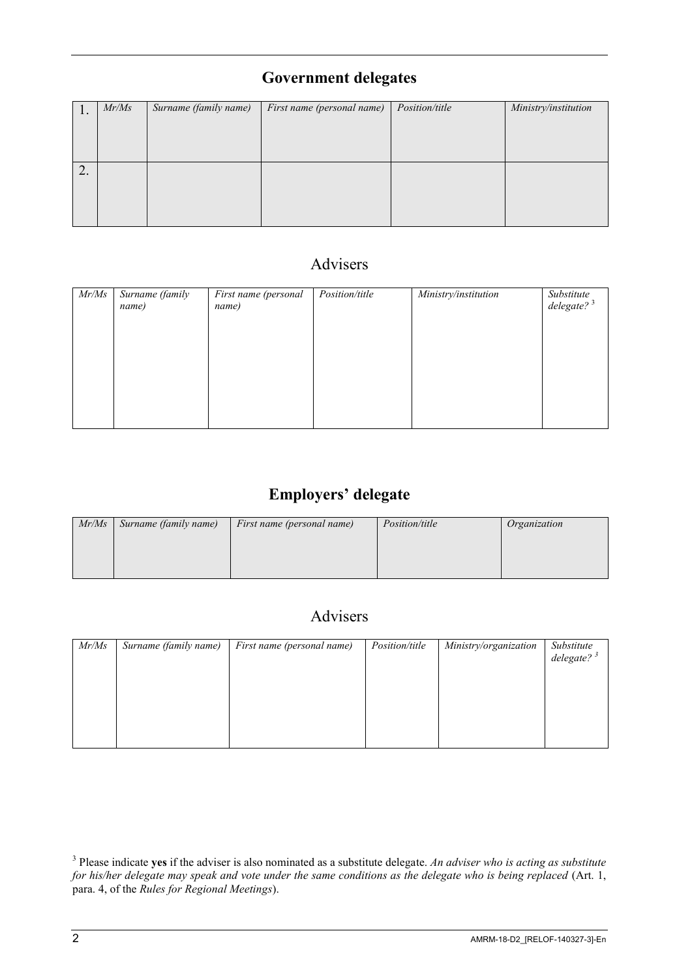# **Government delegates**

|                 | Mr/Ms | Surname (family name) | First name (personal name) | <i>Position/title</i> | Ministry/institution |
|-----------------|-------|-----------------------|----------------------------|-----------------------|----------------------|
|                 |       |                       |                            |                       |                      |
|                 |       |                       |                            |                       |                      |
|                 |       |                       |                            |                       |                      |
|                 |       |                       |                            |                       |                      |
|                 |       |                       |                            |                       |                      |
| $\bigcap$<br>∠. |       |                       |                            |                       |                      |
|                 |       |                       |                            |                       |                      |
|                 |       |                       |                            |                       |                      |
|                 |       |                       |                            |                       |                      |
|                 |       |                       |                            |                       |                      |
|                 |       |                       |                            |                       |                      |

# Advisers

| Mr/Ms | Surname (family<br>name) | First name (personal<br>name) | Position/title | Ministry/institution | Substitute<br>$delegate?$ <sup>3</sup> |
|-------|--------------------------|-------------------------------|----------------|----------------------|----------------------------------------|
|       |                          |                               |                |                      |                                        |
|       |                          |                               |                |                      |                                        |
|       |                          |                               |                |                      |                                        |
|       |                          |                               |                |                      |                                        |

# **Employers' delegate**

| Mr/Ms | Surname (family name) | First name (personal name) | <i>Position/title</i> | Organization |
|-------|-----------------------|----------------------------|-----------------------|--------------|
|       |                       |                            |                       |              |
|       |                       |                            |                       |              |
|       |                       |                            |                       |              |

## Advisers

| Mr/Ms | Surname (family name) | First name (personal name) | <i>Position/title</i> | Ministry/organization | Substitute<br>delegate? $3^3$ |
|-------|-----------------------|----------------------------|-----------------------|-----------------------|-------------------------------|
|       |                       |                            |                       |                       |                               |
|       |                       |                            |                       |                       |                               |

<sup>3</sup> Please indicate **yes** if the adviser is also nominated as a substitute delegate. *An adviser who is acting as substitute for his/her delegate may speak and vote under the same conditions as the delegate who is being replaced* (Art. 1, para. 4, of the *Rules for Regional Meetings*).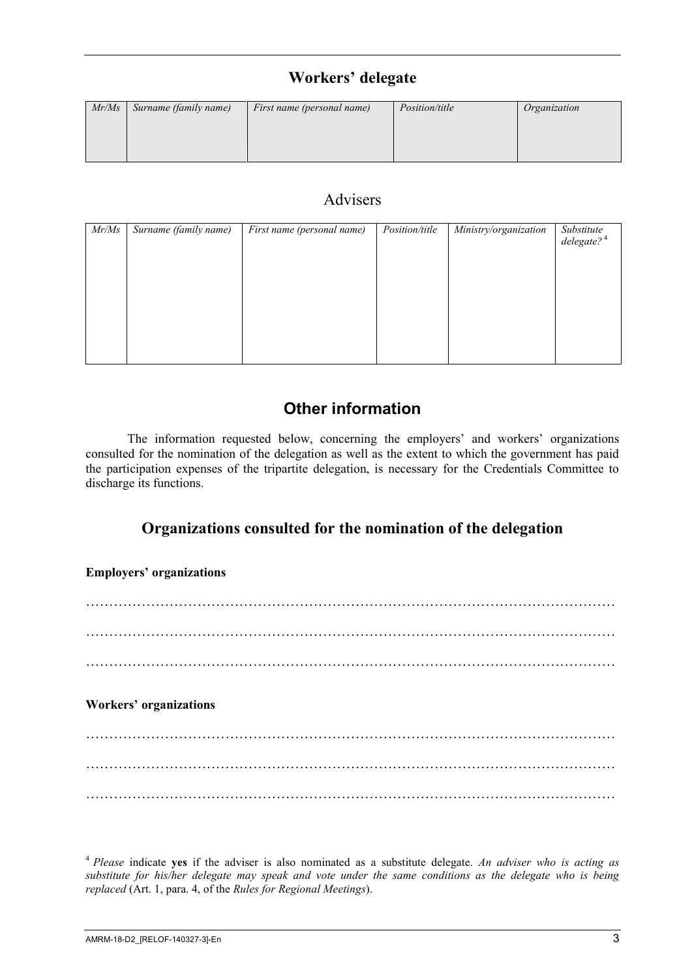#### **Workers' delegate**

| Mr/Ms | Surname (family name) | First name (personal name) | <i>Position/title</i> | Organization |
|-------|-----------------------|----------------------------|-----------------------|--------------|
|       |                       |                            |                       |              |
|       |                       |                            |                       |              |

#### Advisers

| Mr/Ms | Surname (family name) | First name (personal name) | Position/title | Ministry/organization | Substitute<br>delegate? <sup>4</sup> |
|-------|-----------------------|----------------------------|----------------|-----------------------|--------------------------------------|
|       |                       |                            |                |                       |                                      |
|       |                       |                            |                |                       |                                      |
|       |                       |                            |                |                       |                                      |
|       |                       |                            |                |                       |                                      |
|       |                       |                            |                |                       |                                      |
|       |                       |                            |                |                       |                                      |
|       |                       |                            |                |                       |                                      |
|       |                       |                            |                |                       |                                      |

## **Other information**

The information requested below, concerning the employers' and workers' organizations consulted for the nomination of the delegation as well as the extent to which the government has paid the participation expenses of the tripartite delegation, is necessary for the Credentials Committee to discharge its functions.

#### **Organizations consulted for the nomination of the delegation**

**Employers' organizations**

…………………………………………………………………………………………………… …………………………………………………………………………………………………… **Workers' organizations** …………………………………………………………………………………………………… …………………………………………………………………………………………………… ……………………………………………………………………………………………………

<sup>4</sup> *Please* indicate **yes** if the adviser is also nominated as a substitute delegate. *An adviser who is acting as substitute for his/her delegate may speak and vote under the same conditions as the delegate who is being replaced* (Art. 1, para. 4, of the *Rules for Regional Meetings*).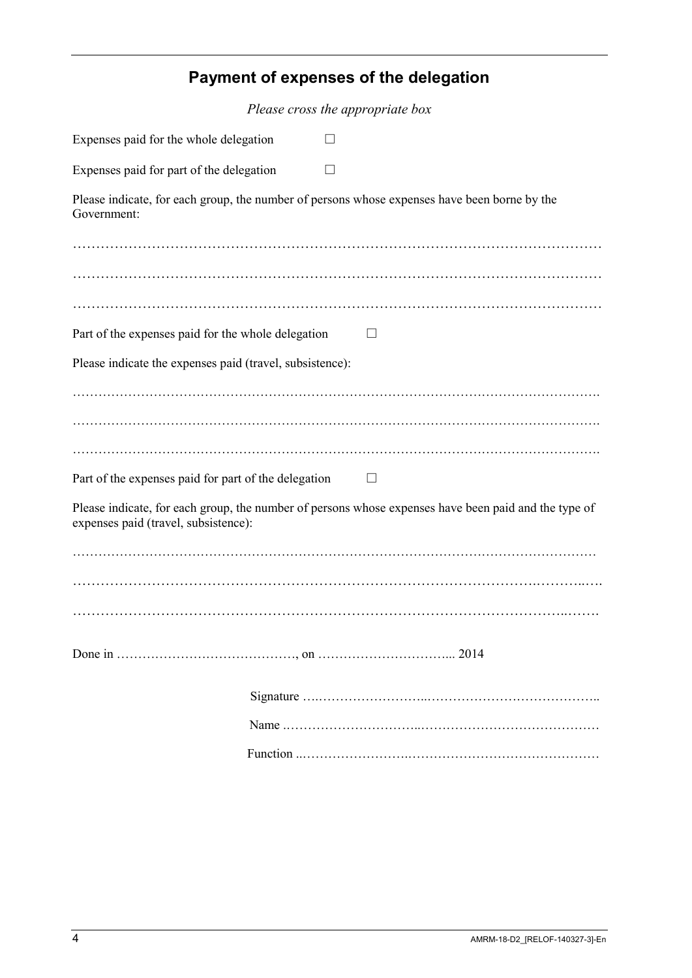| Payment of expenses of the delegation                                                                                                                                                                |
|------------------------------------------------------------------------------------------------------------------------------------------------------------------------------------------------------|
| Please cross the appropriate box                                                                                                                                                                     |
| Expenses paid for the whole delegation                                                                                                                                                               |
| Expenses paid for part of the delegation                                                                                                                                                             |
| Please indicate, for each group, the number of persons whose expenses have been borne by the<br>Government:                                                                                          |
|                                                                                                                                                                                                      |
| Part of the expenses paid for the whole delegation<br>$\Box$                                                                                                                                         |
| Please indicate the expenses paid (travel, subsistence):                                                                                                                                             |
| Part of the expenses paid for part of the delegation<br>Please indicate, for each group, the number of persons whose expenses have been paid and the type of<br>expenses paid (travel, subsistence): |
|                                                                                                                                                                                                      |

Done in ……………………………………, on …………………………... 2014